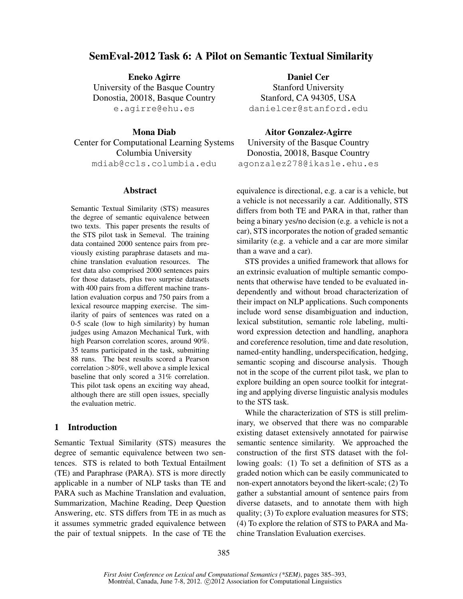# SemEval-2012 Task 6: A Pilot on Semantic Textual Similarity

Eneko Agirre University of the Basque Country Donostia, 20018, Basque Country e.agirre@ehu.es

Mona Diab

Center for Computational Learning Systems Columbia University mdiab@ccls.columbia.edu

#### Abstract

Semantic Textual Similarity (STS) measures the degree of semantic equivalence between two texts. This paper presents the results of the STS pilot task in Semeval. The training data contained 2000 sentence pairs from previously existing paraphrase datasets and machine translation evaluation resources. The test data also comprised 2000 sentences pairs for those datasets, plus two surprise datasets with 400 pairs from a different machine translation evaluation corpus and 750 pairs from a lexical resource mapping exercise. The similarity of pairs of sentences was rated on a 0-5 scale (low to high similarity) by human judges using Amazon Mechanical Turk, with high Pearson correlation scores, around 90%. 35 teams participated in the task, submitting 88 runs. The best results scored a Pearson correlation >80%, well above a simple lexical baseline that only scored a 31% correlation. This pilot task opens an exciting way ahead, although there are still open issues, specially the evaluation metric.

# 1 Introduction

Semantic Textual Similarity (STS) measures the degree of semantic equivalence between two sentences. STS is related to both Textual Entailment (TE) and Paraphrase (PARA). STS is more directly applicable in a number of NLP tasks than TE and PARA such as Machine Translation and evaluation, Summarization, Machine Reading, Deep Question Answering, etc. STS differs from TE in as much as it assumes symmetric graded equivalence between the pair of textual snippets. In the case of TE the

Daniel Cer Stanford University Stanford, CA 94305, USA danielcer@stanford.edu

Aitor Gonzalez-Agirre University of the Basque Country Donostia, 20018, Basque Country agonzalez278@ikasle.ehu.es

equivalence is directional, e.g. a car is a vehicle, but a vehicle is not necessarily a car. Additionally, STS differs from both TE and PARA in that, rather than being a binary yes/no decision (e.g. a vehicle is not a car), STS incorporates the notion of graded semantic similarity (e.g. a vehicle and a car are more similar than a wave and a car).

STS provides a unified framework that allows for an extrinsic evaluation of multiple semantic components that otherwise have tended to be evaluated independently and without broad characterization of their impact on NLP applications. Such components include word sense disambiguation and induction, lexical substitution, semantic role labeling, multiword expression detection and handling, anaphora and coreference resolution, time and date resolution, named-entity handling, underspecification, hedging, semantic scoping and discourse analysis. Though not in the scope of the current pilot task, we plan to explore building an open source toolkit for integrating and applying diverse linguistic analysis modules to the STS task.

While the characterization of STS is still preliminary, we observed that there was no comparable existing dataset extensively annotated for pairwise semantic sentence similarity. We approached the construction of the first STS dataset with the following goals: (1) To set a definition of STS as a graded notion which can be easily communicated to non-expert annotators beyond the likert-scale; (2) To gather a substantial amount of sentence pairs from diverse datasets, and to annotate them with high quality; (3) To explore evaluation measures for STS; (4) To explore the relation of STS to PARA and Machine Translation Evaluation exercises.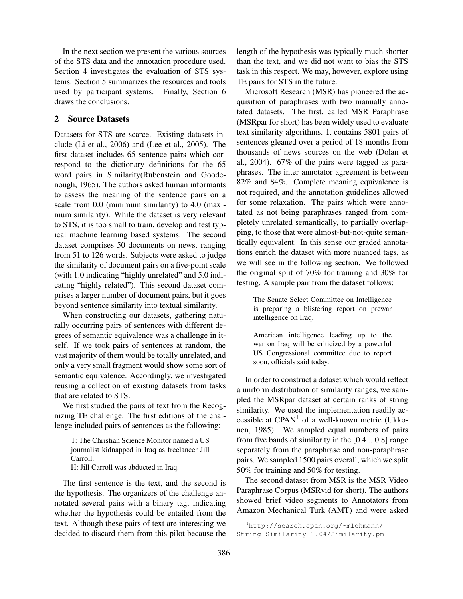In the next section we present the various sources of the STS data and the annotation procedure used. Section 4 investigates the evaluation of STS systems. Section 5 summarizes the resources and tools used by participant systems. Finally, Section 6 draws the conclusions.

# 2 Source Datasets

Datasets for STS are scarce. Existing datasets include (Li et al., 2006) and (Lee et al., 2005). The first dataset includes 65 sentence pairs which correspond to the dictionary definitions for the 65 word pairs in Similarity(Rubenstein and Goodenough, 1965). The authors asked human informants to assess the meaning of the sentence pairs on a scale from 0.0 (minimum similarity) to 4.0 (maximum similarity). While the dataset is very relevant to STS, it is too small to train, develop and test typical machine learning based systems. The second dataset comprises 50 documents on news, ranging from 51 to 126 words. Subjects were asked to judge the similarity of document pairs on a five-point scale (with 1.0 indicating "highly unrelated" and 5.0 indicating "highly related"). This second dataset comprises a larger number of document pairs, but it goes beyond sentence similarity into textual similarity.

When constructing our datasets, gathering naturally occurring pairs of sentences with different degrees of semantic equivalence was a challenge in itself. If we took pairs of sentences at random, the vast majority of them would be totally unrelated, and only a very small fragment would show some sort of semantic equivalence. Accordingly, we investigated reusing a collection of existing datasets from tasks that are related to STS.

We first studied the pairs of text from the Recognizing TE challenge. The first editions of the challenge included pairs of sentences as the following:

T: The Christian Science Monitor named a US journalist kidnapped in Iraq as freelancer Jill Carroll. H: Jill Carroll was abducted in Iraq.

The first sentence is the text, and the second is the hypothesis. The organizers of the challenge annotated several pairs with a binary tag, indicating whether the hypothesis could be entailed from the text. Although these pairs of text are interesting we decided to discard them from this pilot because the length of the hypothesis was typically much shorter than the text, and we did not want to bias the STS task in this respect. We may, however, explore using TE pairs for STS in the future.

Microsoft Research (MSR) has pioneered the acquisition of paraphrases with two manually annotated datasets. The first, called MSR Paraphrase (MSRpar for short) has been widely used to evaluate text similarity algorithms. It contains 5801 pairs of sentences gleaned over a period of 18 months from thousands of news sources on the web (Dolan et al., 2004). 67% of the pairs were tagged as paraphrases. The inter annotator agreement is between 82% and 84%. Complete meaning equivalence is not required, and the annotation guidelines allowed for some relaxation. The pairs which were annotated as not being paraphrases ranged from completely unrelated semantically, to partially overlapping, to those that were almost-but-not-quite semantically equivalent. In this sense our graded annotations enrich the dataset with more nuanced tags, as we will see in the following section. We followed the original split of 70% for training and 30% for testing. A sample pair from the dataset follows:

The Senate Select Committee on Intelligence is preparing a blistering report on prewar intelligence on Iraq.

American intelligence leading up to the war on Iraq will be criticized by a powerful US Congressional committee due to report soon, officials said today.

In order to construct a dataset which would reflect a uniform distribution of similarity ranges, we sampled the MSRpar dataset at certain ranks of string similarity. We used the implementation readily accessible at  $CPAN<sup>1</sup>$  of a well-known metric (Ukkonen, 1985). We sampled equal numbers of pairs from five bands of similarity in the [0.4 .. 0.8] range separately from the paraphrase and non-paraphrase pairs. We sampled 1500 pairs overall, which we split 50% for training and 50% for testing.

The second dataset from MSR is the MSR Video Paraphrase Corpus (MSRvid for short). The authors showed brief video segments to Annotators from Amazon Mechanical Turk (AMT) and were asked

<sup>1</sup>http://search.cpan.org/˜mlehmann/ String-Similarity-1.04/Similarity.pm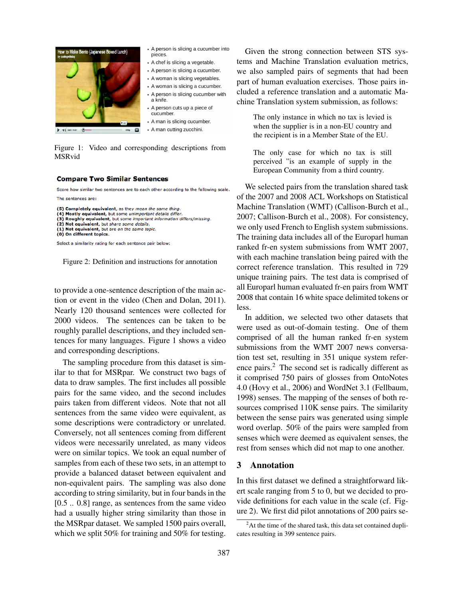

- A person is slicing a cucumber into pieces.
- A chef is slicing a vegetable.
- A person is slicing a cucumber.
- A woman is slicing vegetables.
- A woman is slicing a cucumber.
- A person is slicing cucumber with a knife.
- A person cuts up a piece of cucumber.
- A man is slicing cucumber.
- A man cutting zucchini.

Figure 1: Video and corresponding descriptions from MSRvid

#### **Compare Two Similar Sentences**

Score how similar two sentences are to each other according to the following scale. The sentences are:

```
(5) Completely equivalent, as they mean the same thing.
```

```
Mostly equivalent, but some unimportant details differ
```
(3) Roughly equivalent, but some important information differs/missing. (2) Not equivalent, but share some details.

(1) Not equivalent, but are on the same topic.

Select a similarity rating for each sentence pair below:

Figure 2: Definition and instructions for annotation

to provide a one-sentence description of the main action or event in the video (Chen and Dolan, 2011). Nearly 120 thousand sentences were collected for 2000 videos. The sentences can be taken to be roughly parallel descriptions, and they included sentences for many languages. Figure 1 shows a video and corresponding descriptions.

The sampling procedure from this dataset is similar to that for MSRpar. We construct two bags of data to draw samples. The first includes all possible pairs for the same video, and the second includes pairs taken from different videos. Note that not all sentences from the same video were equivalent, as some descriptions were contradictory or unrelated. Conversely, not all sentences coming from different videos were necessarily unrelated, as many videos were on similar topics. We took an equal number of samples from each of these two sets, in an attempt to provide a balanced dataset between equivalent and non-equivalent pairs. The sampling was also done according to string similarity, but in four bands in the [0.5 .. 0.8] range, as sentences from the same video had a usually higher string similarity than those in the MSRpar dataset. We sampled 1500 pairs overall, which we split 50% for training and 50% for testing.

Given the strong connection between STS systems and Machine Translation evaluation metrics, we also sampled pairs of segments that had been part of human evaluation exercises. Those pairs included a reference translation and a automatic Machine Translation system submission, as follows:

The only instance in which no tax is levied is when the supplier is in a non-EU country and the recipient is in a Member State of the EU.

The only case for which no tax is still perceived "is an example of supply in the European Community from a third country.

We selected pairs from the translation shared task of the 2007 and 2008 ACL Workshops on Statistical Machine Translation (WMT) (Callison-Burch et al., 2007; Callison-Burch et al., 2008). For consistency, we only used French to English system submissions. The training data includes all of the Europarl human ranked fr-en system submissions from WMT 2007, with each machine translation being paired with the correct reference translation. This resulted in 729 unique training pairs. The test data is comprised of all Europarl human evaluated fr-en pairs from WMT 2008 that contain 16 white space delimited tokens or less.

In addition, we selected two other datasets that were used as out-of-domain testing. One of them comprised of all the human ranked fr-en system submissions from the WMT 2007 news conversation test set, resulting in 351 unique system reference pairs.<sup>2</sup> The second set is radically different as it comprised 750 pairs of glosses from OntoNotes 4.0 (Hovy et al., 2006) and WordNet 3.1 (Fellbaum, 1998) senses. The mapping of the senses of both resources comprised 110K sense pairs. The similarity between the sense pairs was generated using simple word overlap. 50% of the pairs were sampled from senses which were deemed as equivalent senses, the rest from senses which did not map to one another.

# 3 Annotation

In this first dataset we defined a straightforward likert scale ranging from 5 to 0, but we decided to provide definitions for each value in the scale (cf. Figure 2). We first did pilot annotations of 200 pairs se-

<sup>(0)</sup> On different topics.

 $2^2$ At the time of the shared task, this data set contained duplicates resulting in 399 sentence pairs.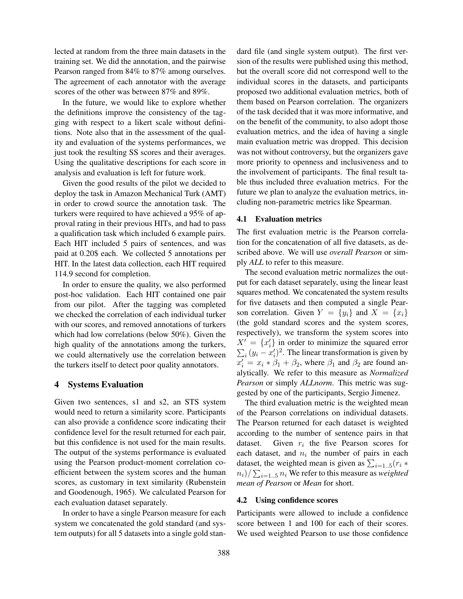lected at random from the three main datasets in the training set. We did the annotation, and the pairwise Pearson ranged from 84% to 87% among ourselves. The agreement of each annotator with the average scores of the other was between 87% and 89%.

In the future, we would like to explore whether the definitions improve the consistency of the tagging with respect to a likert scale without definitions. Note also that in the assessment of the quality and evaluation of the systems performances, we just took the resulting SS scores and their averages. Using the qualitative descriptions for each score in analysis and evaluation is left for future work.

Given the good results of the pilot we decided to deploy the task in Amazon Mechanical Turk (AMT) in order to crowd source the annotation task. The turkers were required to have achieved a 95% of approval rating in their previous HITs, and had to pass a qualification task which included 6 example pairs. Each HIT included 5 pairs of sentences, and was paid at 0.20\$ each. We collected 5 annotations per HIT. In the latest data collection, each HIT required 114.9 second for completion.

In order to ensure the quality, we also performed post-hoc validation. Each HIT contained one pair from our pilot. After the tagging was completed we checked the correlation of each individual turker with our scores, and removed annotations of turkers which had low correlations (below 50%). Given the high quality of the annotations among the turkers, we could alternatively use the correlation between the turkers itself to detect poor quality annotators.

#### 4 Systems Evaluation

Given two sentences, s1 and s2, an STS system would need to return a similarity score. Participants can also provide a confidence score indicating their confidence level for the result returned for each pair, but this confidence is not used for the main results. The output of the systems performance is evaluated using the Pearson product-moment correlation coefficient between the system scores and the human scores, as customary in text similarity (Rubenstein and Goodenough, 1965). We calculated Pearson for each evaluation dataset separately.

In order to have a single Pearson measure for each system we concatenated the gold standard (and system outputs) for all 5 datasets into a single gold standard file (and single system output). The first version of the results were published using this method, but the overall score did not correspond well to the individual scores in the datasets, and participants proposed two additional evaluation metrics, both of them based on Pearson correlation. The organizers of the task decided that it was more informative, and on the benefit of the community, to also adopt those evaluation metrics, and the idea of having a single main evaluation metric was dropped. This decision was not without controversy, but the organizers gave more priority to openness and inclusiveness and to the involvement of participants. The final result table thus included three evaluation metrics. For the future we plan to analyze the evaluation metrics, including non-parametric metrics like Spearman.

#### 4.1 Evaluation metrics

The first evaluation metric is the Pearson correlation for the concatenation of all five datasets, as described above. We will use *overall Pearson* or simply *ALL* to refer to this measure.

The second evaluation metric normalizes the output for each dataset separately, using the linear least squares method. We concatenated the system results for five datasets and then computed a single Pearson correlation. Given  $Y = \{y_i\}$  and  $X = \{x_i\}$ (the gold standard scores and the system scores, respectively), we transform the system scores into  $X' = \{x'_i\}$  in order to minimize the squared error  $\sum_i (y_i - x'_i)^2$ . The linear transformation is given by  $x'_i = x_i * \beta_1 + \beta_2$ , where  $\beta_1$  and  $\beta_2$  are found analytically. We refer to this measure as *Normalized Pearson* or simply *ALLnorm*. This metric was suggested by one of the participants, Sergio Jimenez.

The third evaluation metric is the weighted mean of the Pearson correlations on individual datasets. The Pearson returned for each dataset is weighted according to the number of sentence pairs in that dataset. Given  $r_i$  the five Pearson scores for each dataset, and  $n_i$  the number of pairs in each dataset, the weighted mean is given as  $\sum_{i=1..5} (r_i *$  $\langle n_i \rangle / \sum_{i=1..5} n_i$  We refer to this measure as *weighted mean of Pearson* or *Mean* for short.

### 4.2 Using confidence scores

Participants were allowed to include a confidence score between 1 and 100 for each of their scores. We used weighted Pearson to use those confidence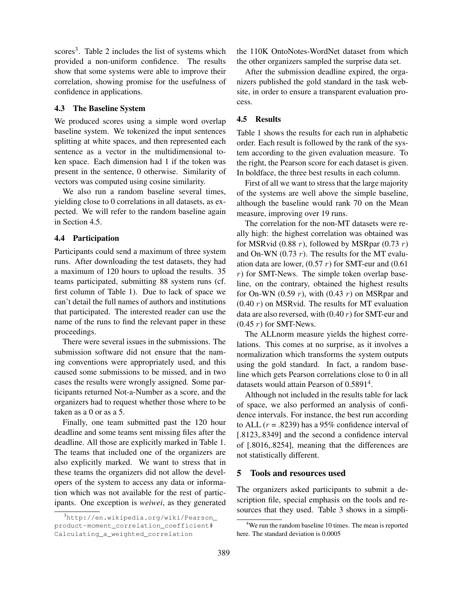scores<sup>3</sup>. Table 2 includes the list of systems which provided a non-uniform confidence. The results show that some systems were able to improve their correlation, showing promise for the usefulness of confidence in applications.

#### 4.3 The Baseline System

We produced scores using a simple word overlap baseline system. We tokenized the input sentences splitting at white spaces, and then represented each sentence as a vector in the multidimensional token space. Each dimension had 1 if the token was present in the sentence, 0 otherwise. Similarity of vectors was computed using cosine similarity.

We also run a random baseline several times, yielding close to 0 correlations in all datasets, as expected. We will refer to the random baseline again in Section 4.5.

#### 4.4 Participation

Participants could send a maximum of three system runs. After downloading the test datasets, they had a maximum of 120 hours to upload the results. 35 teams participated, submitting 88 system runs (cf. first column of Table 1). Due to lack of space we can't detail the full names of authors and institutions that participated. The interested reader can use the name of the runs to find the relevant paper in these proceedings.

There were several issues in the submissions. The submission software did not ensure that the naming conventions were appropriately used, and this caused some submissions to be missed, and in two cases the results were wrongly assigned. Some participants returned Not-a-Number as a score, and the organizers had to request whether those where to be taken as a 0 or as a 5.

Finally, one team submitted past the 120 hour deadline and some teams sent missing files after the deadline. All those are explicitly marked in Table 1. The teams that included one of the organizers are also explicitly marked. We want to stress that in these teams the organizers did not allow the developers of the system to access any data or information which was not available for the rest of participants. One exception is *weiwei*, as they generated

the 110K OntoNotes-WordNet dataset from which the other organizers sampled the surprise data set.

After the submission deadline expired, the organizers published the gold standard in the task website, in order to ensure a transparent evaluation process.

#### 4.5 Results

Table 1 shows the results for each run in alphabetic order. Each result is followed by the rank of the system according to the given evaluation measure. To the right, the Pearson score for each dataset is given. In boldface, the three best results in each column.

First of all we want to stress that the large majority of the systems are well above the simple baseline, although the baseline would rank 70 on the Mean measure, improving over 19 runs.

The correlation for the non-MT datasets were really high: the highest correlation was obtained was for MSRvid (0.88 r), followed by MSRpar (0.73 r) and On-WN  $(0.73 r)$ . The results for the MT evaluation data are lower,  $(0.57 r)$  for SMT-eur and  $(0.61$  $r$ ) for SMT-News. The simple token overlap baseline, on the contrary, obtained the highest results for On-WN (0.59  $r$ ), with (0.43  $r$ ) on MSRpar and  $(0.40 r)$  on MSRvid. The results for MT evaluation data are also reversed, with  $(0.40 r)$  for SMT-eur and  $(0.45 r)$  for SMT-News.

The ALLnorm measure yields the highest correlations. This comes at no surprise, as it involves a normalization which transforms the system outputs using the gold standard. In fact, a random baseline which gets Pearson correlations close to 0 in all datasets would attain Pearson of 0.5891<sup>4</sup>.

Although not included in the results table for lack of space, we also performed an analysis of confidence intervals. For instance, the best run according to ALL ( $r = .8239$ ) has a 95% confidence interval of [.8123,.8349] and the second a confidence interval of [.8016,.8254], meaning that the differences are not statistically different.

#### 5 Tools and resources used

The organizers asked participants to submit a description file, special emphasis on the tools and resources that they used. Table 3 shows in a simpli-

<sup>3</sup>http://en.wikipedia.org/wiki/Pearson\_ product-moment\_correlation\_coefficient# Calculating\_a\_weighted\_correlation

<sup>&</sup>lt;sup>4</sup>We run the random baseline 10 times. The mean is reported here. The standard deviation is 0.0005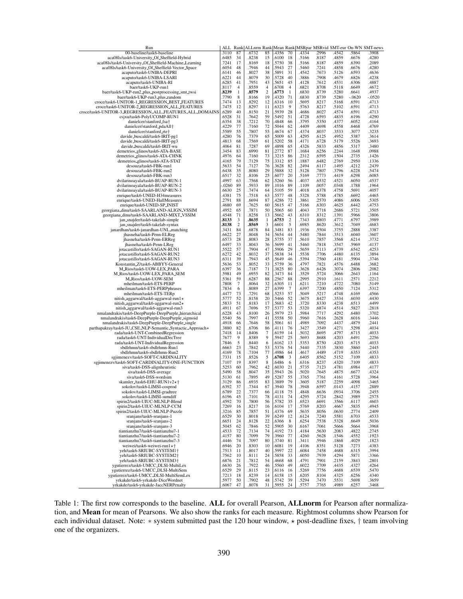| Run                                                        | ALL   | Rank           |       |                |              |                |       |       |       |          | ALLnrm Rank Mean Rank MSRpar MSRvid SMT-eur On-WN SMT-news |
|------------------------------------------------------------|-------|----------------|-------|----------------|--------------|----------------|-------|-------|-------|----------|------------------------------------------------------------|
| 00-baseline/task6-baseline                                 | .3110 | 87             | .6732 | 85             | 4356         | 70             | 4334  | .2996 | .4542 | .5864    | .3908                                                      |
| aca08ls/task6-University_Of_Sheffield-Hybrid               | .6485 | 34             | .8238 | 15             | 6100         | 18             | .5166 | .8187 | .4859 | .6676    | .4280                                                      |
| aca08ls/task6-University_Of_Sheffield-Machine_Learning     | .7241 | 17             | .8169 | 18             | 5750         | 38             | .5166 | .8187 | .4859 | .6390    | .2089                                                      |
| aca08ls/task6-University_Of_Sheffield-Vector_Space         | .6054 | 48             | .7946 | 44             | 5943         | 27             | .5460 | .7241 | .4858 | .6676    | .4280                                                      |
| acaputo/task6-UNIBA-DEPRI                                  | .6141 | 46             | .8027 | 38             | 5891         | 31             | .4542 | .7673 | .5126 | .6593    | .4636                                                      |
| acaputo/task6-UNIBA-LSARI                                  | .6221 | 44             | .8079 | 30             | 5728         | 40             | .3886 | .7908 | .4679 | .6826    | .4238                                                      |
| acaputo/task6-UNIBA-RI                                     | .6285 | 41             | .7951 | 43             | 5651         | 45             | .4128 | .7612 | .4531 | .6306    | .4887                                                      |
| baer/task6-UKP-run1                                        | .8117 | $\overline{4}$ | .8559 | 4              | .6708        | $\overline{4}$ | .6821 | .8708 | .5118 | .6649    | .4672                                                      |
| baer/task6-UKP-run2_plus_postprocessing_smt_twsi           | .8239 | $\mathbf{1}$   | .8579 | $\overline{2}$ | .6773        | $\mathbf{1}$   | .6830 | .8739 | .5280 | .6641    | .4937                                                      |
| baer/task6-UKP-run3_plus_random                            | .7790 | 8              | .8166 | 19             | 4320         | 71             | .6830 | .8739 | .5280 | $-.0620$ | $-.0520$                                                   |
| croce/task6-UNITOR-1_REGRESSION_BEST_FEATURES              | .7474 | 13             | .8292 | 12             | 6316         | 10             | .5695 | .8217 | .5168 | .6591    | .4713                                                      |
| croce/task6-UNITOR-2_REGRESSION_ALL_FEATURES               | .7475 | 12             | .8297 | 11             | 6323         | 9              | .5763 | .8217 | .5102 | .6591    | .4713                                                      |
| croce/task6-UNITOR-3_REGRESSION_ALL_FEATURES_ALL_DOMAINS   | .6289 | 40             | .8150 | 21             | 5939         | 28             | .4686 | .8027 | .4574 | .6591    | .4713                                                      |
| csjxu/task6-PolyUCOMP-RUN1                                 | .6528 | 31             | .7642 | 59             | 5492         | 51             | .4728 | .6593 | .4835 | .6196    | .4290                                                      |
|                                                            | .6354 | 38             | .7212 | 70             | 4848         | 66             | .3795 | .5350 | .4377 | .6052    | .4164                                                      |
| danielcer/stanford_fsa†                                    | 4229  | 77             | .7160 | 72             | 5044         | 62             | .4409 | .4698 | .4558 | .6468    | .4769                                                      |
| danielcer/stanford_pdaAll+<br>danielcer/stanford_rte†      |       | 55             |       |                |              |                |       |       |       |          |                                                            |
|                                                            | .5589 |                | .7807 | 55             | 4674<br>5009 | 67             | .4374 | .8037 | .3533 | .3077    | .3235                                                      |
| davide_buscaldi/task6-IRIT-pg1                             | 4280  | 76             | .7379 | 65             |              | 63             | .4295 | .6125 | .4952 | .5387    | .3614                                                      |
| davide_buscaldi/task6-IRIT-pg3                             | .4813 | 68             | .7569 | 61             | 5202         | 58             | .4171 | .6728 | .5179 | .5526    | .3693                                                      |
| davide_buscaldi/task6-IRIT-wu                              | .4064 | 81             | .7287 | 69             | .4898        | 65             | .4326 | .5833 | .4856 | .5317    | .3480                                                      |
| demetrios_glinos/task6-ATA-BASE                            | .3454 | 83             | .6990 | 81             | 2772         | 87             | .1684 | .6256 | .2244 | .1648    | .0988                                                      |
| demetrios_glinos/task6-ATA-CHNK                            | .4976 | 64             | .7160 | 73             | 3215         | 86             | .2312 | .6595 | .1504 | .2735    | .1426                                                      |
| demetrios_glinos/task6-ATA-STAT                            | .4165 | 79             | .7129 | 75             | 3312         | 85             | .1887 | .6482 | .2769 | .2950    | .1336                                                      |
| desouza/task6-FBK-run1                                     | .5633 | 54             | .7127 | 76             | 3628         | 82             | .2494 | .6117 | .1495 | .4212    | .2439                                                      |
| desouza/task6-FBK-run2                                     | .6438 | 35             | .8080 | 29             | 5888         | 32             | .5128 | .7807 | .3796 | .6228    | .5474                                                      |
| desouza/task6-FBK-run3                                     | .6517 | 32             | .8106 | 25             | 6077         | 20             | .5169 | .7773 | .4419 | .6298    | .6085                                                      |
| dvilarinoayala/task6-BUAP-RUN-1                            | .4997 | 63             | .7568 | 62             | 5260         | 56             | .4037 | .6532 | .4521 | .6050    | .4537                                                      |
| dvilarinoayala/task6-BUAP-RUN-2                            | .0260 | 89             | .5933 | 89             | .1016        | 89             | .1109 | .0057 | .0348 | .1788    | .1964                                                      |
| dvilarinoayala/task6-BUAP-RUN-3                            | .6630 | 25             | .7474 | 64             | 5105         | 59             | .4018 | .6378 | .4758 | .5691    | .4057                                                      |
| enrique/task6-UNED-H34measures                             | .4381 | 75             | .7518 | 63             | 5577.        | 48             | .5328 | .5788 | .4785 | .6692    | .4465                                                      |
| enrique/task6-UNED-HallMeasures                            | .2791 | 88             | .6694 | 87             | 4286         | 72             | .3861 | .2570 | .4086 | .6006    | .5305                                                      |
| enrique/task6-UNED-SP_INIST                                | .4680 | 69             | .7625 | 60             | 5615         | 47             | .5166 | .6303 | .4625 | .6442    | .4753                                                      |
| georgiana_dinu/task6-SAARLAND-ALIGN_VSSIM                  | .4952 | 65             | .7871 | 50             | 5065         | 60             | .4043 | .7718 | .2686 | .5721    | .3505                                                      |
| georgiana_dinu/task6-SAARLAND-MIXT_VSSIM                   | .4548 | 71             | .8258 | 13             | 5662         | 43             | .6310 | .8312 | .1391 | .5966    | .3806                                                      |
|                                                            | .8133 | 3              | .8635 | 1              | 6753         | $\overline{c}$ | .7343 | .8803 | .4771 | .6797    | .3989                                                      |
| jan_snajder/task6-takelab-simple                           |       | $\overline{2}$ |       |                |              | 5              |       |       |       |          |                                                            |
| jan_snajder/task6-takelab-syntax                           | .8138 |                | .8569 | 3              | .6601        |                | .6985 | .8620 | .3612 | .7049    | .4683                                                      |
| janardhan/task6-janardhan-UNL_matching                     | .3431 | 84             | .6878 | 84             | 3481         | 83             | .1936 | .5504 | .3755 | .2888    | .3387                                                      |
| jhasneha/task6-Penn-ELReg                                  | .6622 | 27             | .8048 | 34             | 5654         | 44             | .5480 | .7844 | .3513 | .6040    | .3607                                                      |
| jhasneha/task6-Penn-ERReg                                  | .6573 | 28             | .8083 | 28             | 5755         | 37             | .5610 | .7857 | .3568 | .6214    | .3732                                                      |
| jhasneha/task6-Penn-LReg                                   | .6497 | 33             | .8043 | 36             | 5699         | 41             | .5460 | .7818 | .3547 | .5969    | .4137                                                      |
| jotacastillo/task6-SAGAN-RUN1                              | .5522 | 57             | .7904 | 47             | 5906         | 29             | .5659 | .7113 | .4739 | .6542    | .4253                                                      |
| jotacastillo/task6-SAGAN-RUN2                              | .6272 | 42             | .8032 | 37             | 5838         | 34             | .5538 | .7706 | .4480 | .6135    | .3894                                                      |
| jotacastillo/task6-SAGAN-RUN3                              | .6311 | 39             | .7943 | 45             | 5649         | 46             | .5394 | .7560 | .4181 | .5904    | .3746                                                      |
| Konstantin_Z/task6-ABBYY-General                           | .5636 | 53             | .8052 | 33             | 5759         | 36             | .4797 | .7821 | .4576 | .6488    | .3682                                                      |
| M_Rios/task6-UOW-LEX_PARA                                  | .6397 | 36             | .7187 | 71             | 3825         | 80             | .3628 | .6426 | .3074 | .2806    | .2082                                                      |
| M_Rios/task6-UOW-LEX_PARA_SEM                              | .5981 | 49             | .6955 | 82             | 3473         | 84             | .3529 | .5724 | .3066 | .2643    | .1164                                                      |
| M_Rios/task6-UOW-SEM                                       | .5361 | 59             | .6287 | 88             | 2567         | 88             | .2995 | .2910 | .1611 | .2571    | .2212                                                      |
| mheilman/task6-ETS-PERP                                    | .7808 | $\overline{7}$ | .8064 | 32             | .6305        | 11             | .6211 | .7210 | .4722 | .7080    | .5149                                                      |
| mheilman/task6-ETS-PERPphrases                             | .7834 | 6              | .8089 | 27             | 6399         | 7              | .6397 | .7200 | .4850 | .7124    | .5312                                                      |
|                                                            |       |                |       | 68             |              | 57             |       |       |       |          |                                                            |
| mheilman/task6-ETS-TERp                                    | .4477 | 73             | .7291 |                | 5253         |                | .5049 | .5217 | .4748 | .6169    | .4566                                                      |
| nitish_aggarwal/task6-aggarwal-run1*                       | .5777 | 52             | .8158 | 20             | 5466         | 52             | .3675 | .8427 | .3534 | .6030    | .4430                                                      |
| nitish_aggarwal/task6-aggarwal-run2*                       | .5833 | 51             | .8183 | 17             | 5683         | 42             | .3720 | .8330 | .4238 | .6513    | .4499                                                      |
| nitish_aggarwal/task6-aggarwal-run3                        | .4911 | 67             | .7696 | 57             | 5377         | 53             | .5320 | .6874 | .4514 | .5827    | .2818                                                      |
| nmalandrakis/task6-DeepPurple-DeepPurple_hierarchical      | .6228 | 43             | .8100 | 26             | 5979         | 23             | .5984 | .7717 | .4292 | .6480    | .3702                                                      |
| nmalandrakis/task6-DeepPurple-DeepPurple_sigmoid           | .5540 | 56             | .7997 | 41             | 5558         | 50             | .5960 | .7616 | .2628 | .6016    | .3446                                                      |
| nmalandrakis/task6-DeepPurple-DeepPurple_single            | .4918 | 66             | .7646 | 58             | 5061         | 61             | .4989 | .7092 | .4437 | .4879    | .2441                                                      |
| parthapakray/task6-JU_CSE_NLP-Semantic_Syntactic_Approach* | .3880 | 82             | .6706 | 86             | 4111         | 76             | .3427 | .3549 | .4271 | .5298    | .4034                                                      |
| rada/task6-UNT-CombinedRegression                          | .7418 | 14             | .8406 | $\overline{7}$ | 6159         | 14             | .5032 | .8695 | .4797 | .6715    | .4033                                                      |
| rada/task6-UNT-IndividualDecTree                           | .7677 | 9              | .8389 | 9              | 5947         | 25             | .5693 | .8688 | .4203 | .6491    | .2256                                                      |
| rada/task6-UNT-IndividualRegression                        | .7846 | 5              | .8440 | 6              | 6162         | 13             | .5353 | .8750 | .4203 | .6715    | .4033                                                      |
| sbdlrhmn/task6-sbdlrhmn-Run1                               | .6663 | 23             | .7842 | 53             | 5376         | 54             | .5440 | .7335 | .3830 | .5860    | .2445                                                      |
| sbdlrhmn/task6-sbdlrhmn-Run2                               | .4169 | 78             | .7104 | 77             | 4986         | 64             | .4617 | .4489 | .4719 | .6353    | .4353                                                      |
| sgjimenezv/task6-SOFT-CARDINALITY                          | .7331 | 15             | .8526 | 5              | 6708         | 3              | .6405 | .8562 | .5152 | .7109    | .4833                                                      |
| sgjimenezv/task6-SOFT-CARDINALITY-ONE-FUNCTION             | .7107 | 19             | .8397 | 8              | 6486         | 6              | .6316 | .8237 | .4320 | .7109    | .4833                                                      |
| siva/task6-DSS-alignheuristic                              | .5253 | 60             | .7962 | 42             | 6030         | 21             | .5735 | .7123 | .4781 | .6984    | .4177                                                      |
| siva/task6-DSS-average                                     | .5490 | 58             | .8047 | 35             | 5943         | 26             | .5020 | .7645 | .4875 | .6677    | .4324                                                      |
| siva/task6-DSS-wordsim                                     | .5130 | 61             | .7895 | 49             | 5287         | 55             | .3765 | .7761 | .4161 | .5728    | .3964                                                      |
| skamler_/task6-EHU-RUN1v2*+                                | .3129 | 86             | .6935 | 83             | 3889         | 79             | .3605 | .5187 | .2259 | .4098    | .3465                                                      |
|                                                            | .6392 | 37             | .7344 | 67             | 3940.        | 78             | .3948 | .6597 | .0143 | .4157    | .2889                                                      |
| sokolov/task6-LIMSI-cosprod                                |       | 22             |       |                |              |                |       |       |       |          |                                                            |
| sokolov/task6-LIMSI-gradtree                               | .6789 |                | .7377 | 66             | .4118        | 75             | .4848 | .6636 | .0934 | .3706    | .2455                                                      |
| sokolov/task6-LIMSI-sumdiff                                | .6196 | 45             | .7101 | 78             | .4131        | 74             | .4295 | .5724 | .2842 | .3989    | .2575                                                      |
| spirin2/task6-UIUC-MLNLP-Blend                             | .4592 | 70             | .7800 | 56             | 5782         | 35             | .6523 | .6691 | .3566 | .6117    | .4603                                                      |
| spirin2/task6-UIUC-MLNLP-CCM                               | .7269 | 16             | .8217 | 16             | .6104        | 17             | .5769 | .8203 | .4667 | .5835    | .4945                                                      |
| spirin2/task6-UIUC-MLNLP-Puzzle                            | .3216 | 85             | .7857 | 51             | 4376         | 69             | .5635 | .8056 | .0630 | .2774    | .2409                                                      |
| sranjans/task6-sranjans-1                                  | .6529 | 30             | .8018 | 39             | .6249        | 12             | .6124 | .7240 | .5581 | .6703    | .4533                                                      |
| sranjans/task6-sranjans-2                                  | .6651 | 24             | .8128 | 22             | .6366        | 8              | .6254 | .7538 | .5328 | .6649    | .5036                                                      |
| sranjans/task6-sranjans-3                                  | .5045 | 62             | .7846 | 52             | 5905         | 30             | .6167 | .7061 | .5666 | .5664    | .3968                                                      |
| tiantianzhu7/task6-tiantianzhu7-1                          | .4533 | 72             | .7134 | 74             | 4192         | 73             | .4184 | .5630 | .2083 | .4822    | .2745                                                      |
| tiantianzhu7/task6-tiantianzhu7-2                          | 4157  | 80             | .7099 | 79             | 3960         | 77             | .4260 | .5628 | .1546 | .4552    | .1923                                                      |
| tiantianzhu7/task6-tiantianzhu7-3                          | .4446 | 74             | .7097 | 80             | 3740         | 81             | .3411 | .5946 | .1868 | .4029    | .1823                                                      |
| weiwei/task6-weiwei-run $1 \star \uparrow$                 | .6946 | 20             | .8303 | 10             | .6081        | 19             | .4106 | .8351 | .5128 | .7273    | .4383                                                      |
| yeh/task6-SRIUBC-SYSTEM1+                                  | .7513 | 11             | .8017 | 40             | 5997         | 22             | .6084 | .7458 | .4688 | .6315    | .3994                                                      |
| yeh/task6-SRIUBC-SYSTEM2+                                  | .7562 | 10             | .8111 | 24             | 5858         | 33             | .6050 | .7939 | .4294 | .5871    | .3366                                                      |
| yeh/task6-SRIUBC-SYSTEM3+                                  | .6876 | 21             | .7812 | 54             | 4668         | 68             | .4791 | .7901 | .2159 | .3843    | .2801                                                      |
| vgutierrez/task6-UMCC_DLSI-MultiLex                        | .6630 | 26             | .7922 | 46             | 5560         | 49             | .6022 | .7709 | .4435 | .4327    | .4264                                                      |
| ygutierrez/task6-UMCC_DLSI-MultiSem                        | .6529 | 29             | .8115 | 23             | .6116        | 16             | .5269 | .7756 | .4688 | .6539    | .5470                                                      |
|                                                            |       |                |       | 14             |              |                |       |       |       |          |                                                            |
| ygutierrez/task6-UMCC_DLSI-MultiSemLex                     | .7213 | 18             | .8239 |                | .6158        | 15             | .6205 | .8104 | .4325 | .6256    | .4340                                                      |
| yrkakde/task6-yrkakde-DiceWordnet                          | 5977. | 50             | .7902 | 48             | .5742        | 39             | .5294 | .7470 | .5531 | .5698    | .3659                                                      |
| yrkakde/task6-yrkakde-JaccNERPenalty                       | .6067 | 47             | .8078 | 31             | .5955        | 24             | .5757 | .7765 | .4989 | .6257    | .3468                                                      |

Table 1: The first row corresponds to the baseline. ALL for overall Pearson, ALLnorm for Pearson after normalization, and Mean for mean of Pearsons. We also show the ranks for each measure. Rightmost columns show Pearson for each individual dataset. Note: ∗ system submitted past the 120 hour window, ★ post-deadline fixes, † team involving one of the organizers.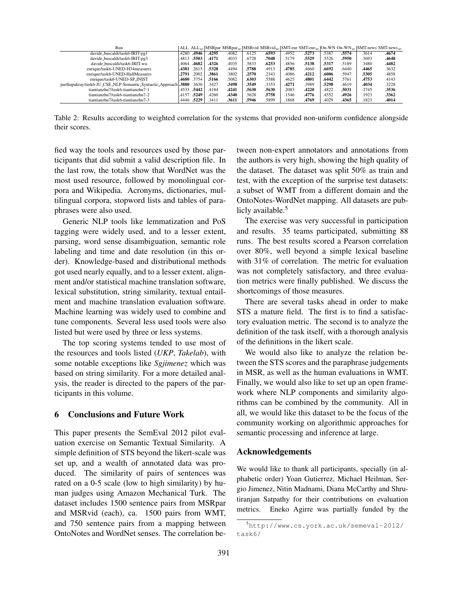| Run                                                       |       |             |       |       |       |       |       |       |       |       | ALL ALL <sub>10</sub>   MSRpar MSRpar <sub>10</sub>   MSRvid MSRvid <sub>10</sub>   SMT-eur SMT-eur <sub>10</sub>   On-WN On-WN <sub>10</sub>   SMT-news SMT-news <sub>10</sub> |       |
|-----------------------------------------------------------|-------|-------------|-------|-------|-------|-------|-------|-------|-------|-------|---------------------------------------------------------------------------------------------------------------------------------------------------------------------------------|-------|
| davide_buscaldi/task6-IRIT-pg1                            | 4280  | .4946       | .4295 | .4082 | .6125 | .6593 | .4952 | .5273 | .5387 | .5574 | .3614                                                                                                                                                                           | .4674 |
| davide_buscaldi/task6-IRIT-pg3                            | .4813 | .5503       | .4171 | .4033 | .6728 | .7048 | .5179 | .5529 | .5526 | .5950 | .3693                                                                                                                                                                           | .4648 |
| davide_buscaldi/task6-IRIT-wu                             | 4064  | .4682       | .4326 | .4035 | .5833 | .6253 | .4856 | .5138 | .5317 | .5189 | .3480                                                                                                                                                                           | .4482 |
| enrique/task6-UNED-H34 measures                           | .4381 | .2615       | .5328 | .4494 | .5788 | .4913 | .4785 | .4660 | .6692 | .6440 | .4465                                                                                                                                                                           | .3632 |
| enrique/task6-UNED-HallMeasures                           | .2791 | .2002       | .3861 | .3802 | .2570 | 2343  | 4086  | .4212 | .6006 | .5947 | .5305                                                                                                                                                                           | .4858 |
| enrique/task6-UNED-SP_INIST                               |       | .4680.3754  | .5166 | .5082 | .6303 | .5588 | .4625 | .4801 | .6442 | .5761 | .4753                                                                                                                                                                           | .4143 |
| parthapakray/task6-JU_CSE_NLP-Semantic_Syntactic_Approach | .3880 | .3636       | .3427 | .3498 | .3549 | .3353 | .4271 | .3989 | .5298 | .4619 | .4034                                                                                                                                                                           | .3228 |
| tiantianzhu7/task6-tiantianzhu7-1                         |       | .4533 .5442 | 4184  | .4241 | .5630 | .5630 | .2083 | .4220 | .4822 | .5031 | .2745                                                                                                                                                                           | .3536 |
| tiantianzhu7/task6-tiantianzhu7-2                         | .4157 | .5249       | .4260 | .4340 | .5628 | .5758 | .1546 | .4776 | .4552 | .4926 | .1923                                                                                                                                                                           | .3362 |
| tiantianzhu7/task6-tiantianzhu7-3                         | 4446  | .5229       | .3411 | .3611 | .5946 | .5899 | .1868 | .4769 | .4029 | .4365 | .1823                                                                                                                                                                           | .4014 |

Table 2: Results according to weighted correlation for the systems that provided non-uniform confidence alongside their scores.

fied way the tools and resources used by those participants that did submit a valid description file. In the last row, the totals show that WordNet was the most used resource, followed by monolingual corpora and Wikipedia. Acronyms, dictionaries, multilingual corpora, stopword lists and tables of paraphrases were also used.

Generic NLP tools like lemmatization and PoS tagging were widely used, and to a lesser extent, parsing, word sense disambiguation, semantic role labeling and time and date resolution (in this order). Knowledge-based and distributional methods got used nearly equally, and to a lesser extent, alignment and/or statistical machine translation software, lexical substitution, string similarity, textual entailment and machine translation evaluation software. Machine learning was widely used to combine and tune components. Several less used tools were also listed but were used by three or less systems.

The top scoring systems tended to use most of the resources and tools listed (*UKP*, *Takelab*), with some notable exceptions like *Sgjimenez* which was based on string similarity. For a more detailed analysis, the reader is directed to the papers of the participants in this volume.

#### 6 Conclusions and Future Work

This paper presents the SemEval 2012 pilot evaluation exercise on Semantic Textual Similarity. A simple definition of STS beyond the likert-scale was set up, and a wealth of annotated data was produced. The similarity of pairs of sentences was rated on a 0-5 scale (low to high similarity) by human judges using Amazon Mechanical Turk. The dataset includes 1500 sentence pairs from MSRpar and MSRvid (each), ca. 1500 pairs from WMT, and 750 sentence pairs from a mapping between OntoNotes and WordNet senses. The correlation between non-expert annotators and annotations from the authors is very high, showing the high quality of the dataset. The dataset was split 50% as train and test, with the exception of the surprise test datasets: a subset of WMT from a different domain and the OntoNotes-WordNet mapping. All datasets are publicly available.<sup>5</sup>

The exercise was very successful in participation and results. 35 teams participated, submitting 88 runs. The best results scored a Pearson correlation over 80%, well beyond a simple lexical baseline with 31% of correlation. The metric for evaluation was not completely satisfactory, and three evaluation metrics were finally published. We discuss the shortcomings of those measures.

There are several tasks ahead in order to make STS a mature field. The first is to find a satisfactory evaluation metric. The second is to analyze the definition of the task itself, with a thorough analysis of the definitions in the likert scale.

We would also like to analyze the relation between the STS scores and the paraphrase judgements in MSR, as well as the human evaluations in WMT. Finally, we would also like to set up an open framework where NLP components and similarity algorithms can be combined by the community. All in all, we would like this dataset to be the focus of the community working on algorithmic approaches for semantic processing and inference at large.

### Acknowledgements

We would like to thank all participants, specially (in alphabetic order) Yoan Gutierrez, Michael Heilman, Sergio Jimenez, Nitin Madnami, Diana McCarthy and Shrutiranjan Satpathy for their contributions on evaluation metrics. Eneko Agirre was partially funded by the

<sup>5</sup>http://www.cs.york.ac.uk/semeval-2012/ task6/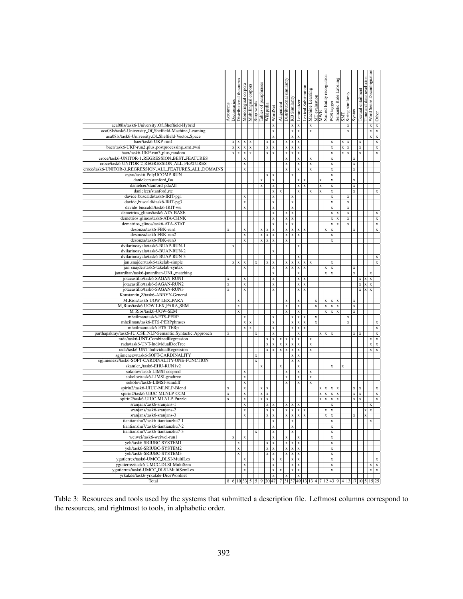|                                                                            | Acronyms    | Dictionarie | thesaurus<br>Distributional | Monolingual corpora        | согрога<br>Multilingual    | Stop words         | paraphrases<br>Tables of   | Wikipedia                  | WordNet                                | Alignment                  | similarity<br>Distributional           | KB Similarity                               | Lemmatizer                               | Lexical Substitution       | Machine Learning   | <b>MT</b> evaluation    | MWE<br>Named Entity recognition        | POS tagger                 | Semantic Role Labeling     | <b>TINS</b>      | String similarity          | Syntax                     | Textual entailment<br>date<br>$\overline{\mathbf{a}}$<br>Time | Word Sense Disambiguation | Other                                    |
|----------------------------------------------------------------------------|-------------|-------------|-----------------------------|----------------------------|----------------------------|--------------------|----------------------------|----------------------------|----------------------------------------|----------------------------|----------------------------------------|---------------------------------------------|------------------------------------------|----------------------------|--------------------|-------------------------|----------------------------------------|----------------------------|----------------------------|------------------|----------------------------|----------------------------|---------------------------------------------------------------|---------------------------|------------------------------------------|
| aca08ls/task6-University_Of_Sheffield-Hybrid                               |             |             |                             |                            |                            |                    |                            |                            | $\mathbf x$                            |                            |                                        | X                                           | $\bf{X}$                                 |                            | $\bar{\mathbf{x}}$ |                         |                                        |                            |                            |                  | X                          |                            |                                                               | $\mathbf x$               | $\mathbf x$                              |
| aca08ls/task6-University_Of_Sheffield-Machine_Learning                     |             |             |                             |                            |                            |                    |                            |                            | X                                      |                            |                                        | $\mathbf x$                                 | $\mathbf X$                              |                            | X                  |                         |                                        |                            |                            |                  | $\mathbf x$                |                            |                                                               | $\mathbf x$               | $\mathbf x$                              |
| aca08ls/task6-University_Of_Sheffield-Vector_Space<br>baer/task6-UKP-run1  |             | $\mathbf x$ |                             |                            |                            |                    |                            |                            | $\mathbf x$                            |                            |                                        | $\mathbf x$<br>$\overline{\mathbf{x}}$      | $\overline{\mathbf{x}}$                  |                            |                    |                         |                                        |                            |                            |                  |                            |                            |                                                               | $\mathbf x$               | $\overline{\mathbf{x}}$                  |
| baer/task6-UKP-run2_plus_postprocessing_smt_twsi                           |             | $\mathbf x$ | $\mathbf x$<br>$\mathbf x$  | $\mathbf x$<br>$\mathbf x$ | $\mathbf x$<br>$\mathbf x$ |                    |                            | $\mathbf x$<br>$\mathbf x$ | $\mathbf x$<br>$\mathbf X$             |                            | $\mathbf x$<br>$\mathbf x$             | $\mathbf x$                                 | $\mathbf x$<br>$\mathbf x$               |                            |                    |                         |                                        | $\mathbf x$<br>X           |                            | X<br>$\mathbf x$ | $\mathbf x$<br>$\mathbf x$ |                            | $\mathbf x$<br>$\mathbf X$                                    |                           | $\boldsymbol{\mathrm{X}}$<br>$\mathbf x$ |
| baer/task6-UKP-run3_plus_random                                            |             | $\mathbf x$ | $\mathbf x$                 | $\mathbf x$                | $\mathbf x$                |                    |                            | $\mathbf x$                | $\mathbf x$                            |                            | $\mathbf x$                            | $\mathbf x$                                 | $\mathbf x$                              |                            |                    |                         |                                        | $\mathbf X$                |                            | $\mathbf x$      | $\mathbf X$                |                            | $\mathbf x$                                                   |                           | $\mathbf x$                              |
| croce/task6-UNITOR-1_REGRESSION_BEST_FEATURES                              |             |             |                             | $\mathbf X$                |                            |                    |                            |                            |                                        |                            | X                                      |                                             | $\mathbf x$                              |                            | X                  |                         |                                        | $\mathbf x$                |                            |                  |                            | $\mathbf X$                |                                                               |                           |                                          |
| croce/task6-UNITOR-2_REGRESSION_ALL_FEATURES                               |             |             |                             | $\mathbf X$                |                            |                    |                            |                            |                                        |                            | $\mathbf X$                            |                                             | $\mathbf x$                              |                            | $\mathbf X$        |                         |                                        | $\mathbf x$                |                            |                  |                            | $\mathbf X$                |                                                               |                           |                                          |
| croce/task6-UNITOR-3_REGRESSION_ALL_FEATURES_ALL_DOMAINS                   |             |             |                             | $\mathbf x$                |                            |                    |                            |                            |                                        |                            | X                                      |                                             | $\mathbf x$                              |                            | X                  |                         |                                        | X                          |                            |                  |                            | $\mathbf X$                |                                                               |                           |                                          |
| csjxu/task6-PolyUCOMP-RUN                                                  |             |             |                             |                            |                            |                    |                            | $\mathbf x$                | $\mathbf x$                            |                            |                                        | $\mathbf x$                                 |                                          |                            |                    |                         |                                        | $\mathbf x$                |                            |                  |                            |                            |                                                               |                           |                                          |
| danielcer/stanford_fsa<br>danielcer/stanford_pdaAll                        |             |             |                             |                            |                            |                    | $\mathbf X$<br>$\mathbf x$ |                            | $\mathbf X$<br>$\mathbf x$             |                            |                                        |                                             | $\mathbf{x}$<br>$\mathbf x$              | $\mathbf x$<br>$\mathbf x$ |                    | X<br>X                  |                                        | $\mathbf X$<br>$\mathbf X$ |                            |                  |                            | $\mathbf X$<br>$\mathbf X$ |                                                               |                           |                                          |
| danielcer/stanford_rte                                                     |             |             |                             |                            |                            |                    |                            |                            | $\mathbf x$                            | $\mathbf x$                |                                        |                                             | $\mathbf X$                              |                            | X                  | x                       |                                        | $\mathbf x$                |                            |                  |                            | $\mathbf X$                |                                                               |                           | $\mathbf x$                              |
| davide_buscaldi/task6-IRIT-pg1                                             |             |             |                             | $\mathbf X$                |                            |                    |                            |                            | $\mathbf x$                            |                            |                                        | $\mathbf X$                                 |                                          |                            |                    |                         |                                        | X                          |                            |                  | $\mathbf X$                |                            |                                                               |                           |                                          |
| davide_buscaldi/task6-IRIT-pg3                                             |             |             |                             | $\mathbf x$                |                            |                    |                            |                            | $\mathbf x$                            |                            |                                        | $\mathbf X$                                 |                                          |                            |                    |                         |                                        | $\mathbf x$                |                            |                  | $\mathbf X$                |                            |                                                               |                           |                                          |
| davide_buscaldi/task6-IRIT-wu                                              |             |             |                             | $\mathbf x$                |                            |                    |                            |                            | $\bar{\mathbf{x}}$                     |                            |                                        | $\mathbf x$                                 |                                          |                            |                    |                         |                                        | X                          |                            |                  | $\mathbf x$                |                            |                                                               |                           |                                          |
| demetrios_glinos/task6-ATA-BASE                                            |             |             |                             |                            |                            |                    |                            |                            | $\mathbf X$                            |                            | X                                      | $\mathbf X$                                 |                                          |                            |                    |                         |                                        | $\mathbf x$                | $\mathbf x$                |                  | X                          |                            |                                                               |                           | $\mathbf X$                              |
| demetrios_glinos/task6-ATA-CHNK                                            |             |             |                             |                            |                            |                    |                            |                            | $\mathbf x$                            |                            | $\mathbf X$                            | $\mathbf x$                                 |                                          |                            |                    |                         |                                        | $\mathbf x$                | $\mathbf x$                |                  | $\mathbf x$                |                            |                                                               |                           | $\mathbf x$                              |
| demetrios_glinos/task6-ATA-STAT<br>desouza/task6-FBK-run1                  |             |             |                             |                            |                            |                    |                            |                            | X<br>$\mathbf X$                       |                            | $\mathbf x$<br>$\mathbf x$             | $\mathbf x$                                 |                                          |                            |                    |                         |                                        | $\bar{\mathbf{x}}$         | $\mathbf x$                |                  | $\mathbf x$                |                            |                                                               |                           | $\mathbf X$<br>$\mathbf x$               |
| desouza/task6-FBK-run2                                                     | $\mathbf X$ |             |                             | $\mathbf X$<br>$\mathbf x$ |                            |                    | $\mathbf x$<br>$\mathbf x$ | $\mathbf x$<br>$\mathbf x$ | $\mathbf x$                            |                            | $\mathbf x$                            | $\mathbf x$<br>$\mathbf x$                  | $\mathbf x$<br>$\mathbf x$               | $\mathbf x$                |                    |                         | $\mathbf x$                            | $\mathbf X$<br>$\mathbf x$ |                            |                  |                            | $\mathbf X$                |                                                               |                           |                                          |
| desouza/task6-FBK-run3                                                     |             |             |                             | $\mathbf x$                |                            |                    | $\mathbf x$                | $\mathbf x$                | $\mathbf x$                            |                            | $\mathbf x$                            |                                             |                                          |                            |                    |                         |                                        | $\bar{\mathbf{x}}$         |                            |                  |                            |                            |                                                               |                           |                                          |
| dvilarinoayala/task6-BUAP-RUN-1                                            |             | $\bf{x}$    |                             |                            |                            |                    |                            |                            |                                        |                            |                                        |                                             | $\mathbf x$                              |                            |                    |                         |                                        |                            |                            |                  |                            |                            |                                                               |                           |                                          |
| dvilarinoayala/task6-BUAP-RUN-2                                            |             |             |                             |                            |                            |                    |                            |                            | $\mathbf x$                            |                            |                                        |                                             |                                          |                            |                    |                         |                                        |                            |                            |                  |                            |                            |                                                               |                           |                                          |
| dvilarinoayala/task6-BUAP-RUN-3                                            |             |             |                             |                            |                            |                    |                            |                            |                                        |                            |                                        |                                             | $\mathbf x$                              |                            |                    |                         |                                        |                            |                            |                  |                            |                            |                                                               |                           | $\mathbf x$                              |
| jan_snajder/task6-takelab-simple                                           |             | $\mathbf x$ | $\mathbf x$                 | $\mathbf X$                |                            | $\mathbf x$        |                            | $\mathbf x$                | $\mathbf x$                            |                            | $\mathbf x$                            | $\mathbf x$                                 | $\mathbf x$                              | $\mathbf x$                | $\mathbf x$        |                         |                                        | $\mathbf x$                |                            |                  |                            |                            |                                                               |                           | $\mathbf X$                              |
| jan_snajder/task6-takelab-syntax<br>janardhan/task6-janardhan-UNL_matching |             |             |                             | $\mathbf x$                |                            |                    |                            |                            | $\mathbf x$<br>$\mathbf x$             |                            | $\mathbf x$                            | $\ensuremath{\mathbf{x}}\xspace$            | $\mathbf x$<br>$\mathbf x$               | $\mathbf x$                |                    |                         | $\mathbf x$<br>$\overline{\mathbf{x}}$ | $\mathbf x$<br>$\mathbf x$ |                            |                  |                            | $\mathbf X$<br>$\mathbf X$ |                                                               | $\mathbf x$               |                                          |
| jotacastillo/task6-SAGAN-RUN1                                              | X           |             |                             | $\mathbf x$                |                            |                    |                            |                            | $\mathbf x$                            |                            |                                        |                                             | $\mathbf x$                              | $\mathbf x$                |                    |                         |                                        |                            |                            |                  |                            |                            | $\mathbf X$<br>$\mathbf x$                                    | $\mathbf x$               |                                          |
| jotacastillo/task6-SAGAN-RUN2                                              | X           |             |                             | $\mathbf X$                |                            |                    |                            |                            | $\mathbf x$                            |                            |                                        |                                             | $\mathbf x$                              | $\mathbf x$                |                    |                         |                                        |                            |                            |                  |                            |                            | $\mathbf x$<br>$\mathbf x$                                    | $\mathbf x$               |                                          |
| jotacastillo/task6-SAGAN-RUN3                                              | X           |             |                             | $\mathbf x$                |                            |                    |                            |                            | $\mathbf x$                            |                            |                                        |                                             | $\mathbf x$                              | $\mathbf x$                |                    |                         |                                        |                            |                            |                  |                            |                            | $\mathbf X$<br>$\mathbf x$                                    | $\mathbf x$               |                                          |
| Konstantin_Z/task6-ABBYY-General                                           |             |             |                             |                            |                            |                    |                            |                            |                                        |                            |                                        |                                             |                                          |                            |                    |                         |                                        |                            |                            |                  |                            |                            |                                                               |                           |                                          |
| M_Rios/task6-UOW-LEX_PARA                                                  |             |             | $\mathbf X$                 |                            |                            |                    |                            |                            |                                        |                            | X                                      |                                             | $\mathbf x$                              |                            |                    | $\mathbf x$             | X                                      | $\mathbf x$                | $\mathbf x$                |                  |                            | $\mathbf x$                |                                                               |                           |                                          |
| M_Rios/task6-UOW-LEX_PARA_SEM<br>M_Rios/task6-UOW-SEM                      |             |             | X<br>$\mathbf X$            |                            |                            |                    |                            |                            |                                        |                            | X<br>$\mathbf x$                       |                                             | $\mathbf x$<br>$\mathbf X$               |                            |                    | $\mathbf X$             | $\mathbf X$<br>$\mathbf x$             | $\mathbf x$<br>$\mathbf x$ | $\mathbf x$<br>$\mathbf x$ |                  |                            | $\mathbf X$<br>$\mathbf x$ |                                                               |                           |                                          |
| mheilman/task6-ETS-PERP                                                    |             |             |                             | $\mathbf x$                |                            |                    |                            |                            | $\mathbf x$                            |                            |                                        | $\mathbf x$                                 | $\mathbf x$                              | $\mathbf x$                |                    | X                       |                                        |                            |                            |                  | $\mathbf x$                |                            |                                                               |                           |                                          |
| mheilman/task6-ETS-PERPphrases                                             |             |             |                             | $\mathbf x$                | X                          |                    |                            |                            | $\mathbf x$                            |                            |                                        | $\mathbf X$                                 | $\mathbf x$                              | $\mathbf x$                |                    | $\mathbf x$             |                                        |                            |                            |                  | $\mathbf x$                |                            |                                                               |                           | $\mathbf x$                              |
| mheilman/task6-ETS-TERp                                                    |             |             |                             | $\overline{\mathbf{x}}$    | $\overline{\mathbf{x}}$    |                    |                            |                            | $\mathbf x$                            |                            |                                        | $\overline{\mathbf{x}}$                     | $\ensuremath{\mathbf{x}}\xspace$         | $\overline{\mathbf{x}}$    |                    |                         |                                        |                            |                            |                  |                            |                            |                                                               |                           | $\boldsymbol{\mathrm{x}}$                |
| parthapakray/task6-JU_CSE_NLP-Semantic_Syntactic_Approach                  | $\mathbf X$ |             |                             |                            |                            | X                  |                            |                            | $\mathbf x$                            |                            |                                        |                                             | $\mathbf x$                              |                            |                    |                         | $x \mid x$                             | $\mathbf x$                |                            |                  |                            | $\mathbf x$                | $\mathbf x$                                                   |                           | $\overline{\mathbf{x}}$                  |
| rada/task6-UNT-CombinedRegression                                          |             |             |                             |                            |                            |                    |                            | $\mathbf x$                | $\mathbf x$                            | $\mathbf x$                | $\mathbf x$                            | $\mathbf x$                                 | $\mathbf X$                              |                            | $\mathbf x$        |                         |                                        |                            |                            |                  |                            |                            |                                                               | $\mathbf x$               | $\mathbf x$                              |
| rada/task6-UNT-IndividualDecTree<br>rada/task6-UNT-IndividualRegression    |             |             |                             |                            |                            |                    |                            | $\mathbf x$<br>$\mathbf x$ | $\mathbf x$<br>$\overline{\mathbf{x}}$ | $\mathbf x$<br>$\mathbf x$ | $\mathbf x$<br>$\overline{\mathbf{x}}$ | $\mathbf x$                                 | $\mathbf X$                              |                            | X                  |                         |                                        |                            |                            |                  |                            |                            |                                                               | $\mathbf x$               | $\mathbf x$<br>$\mathbf x$               |
| sgjimenezv/task6-SOFT-CARDINALITY                                          |             |             |                             |                            |                            | $\mathbf X$        |                            |                            |                                        |                            |                                        | $\overline{\mathbf{x}}$<br>$\mathbf x$      | $\boldsymbol{\mathrm{X}}$<br>$\mathbf x$ |                            | $\mathbf X$        |                         |                                        |                            |                            |                  |                            |                            |                                                               | $\mathbf x$               |                                          |
| sgjimenezv/task6-SOFT-CARDINALITY-ONE-FUNCTION                             |             |             |                             |                            |                            | $\bar{\mathbf{x}}$ |                            |                            |                                        |                            |                                        | $\mathbf x$                                 | $\mathbf x$                              |                            |                    |                         |                                        |                            |                            |                  |                            |                            |                                                               |                           |                                          |
| skamler_/task6-EHU-RUN1v2                                                  |             |             |                             |                            |                            |                    | $\mathbf x$                |                            |                                        | $\mathbf x$                |                                        |                                             | $\mathbf x$                              |                            |                    |                         |                                        | x                          |                            | $\mathbf X$      |                            |                            |                                                               |                           |                                          |
| sokolov/task6-LIMSI-cosprod                                                |             |             |                             | $\mathbf X$                |                            |                    |                            |                            |                                        |                            | X                                      |                                             | $\mathbf x$                              |                            | X                  |                         |                                        |                            |                            |                  |                            |                            |                                                               |                           |                                          |
| sokolov/task6-LIMSI-gradtree                                               |             |             |                             | $\mathbf x$                |                            |                    |                            |                            |                                        |                            | $\mathbf x$                            |                                             | $\mathbf x$                              |                            | $\mathbf X$        |                         |                                        |                            |                            |                  |                            |                            |                                                               |                           |                                          |
| sokolov/task6-LIMSI-sumdiff<br>spirin2/task6-UIUC-MLNLP-Blend              | X           |             |                             | $\mathbf x$<br>$\mathbf x$ |                            |                    | $\mathbf x$                | $\mathbf x$                |                                        |                            | X                                      |                                             | $\mathbf X$                              |                            | X                  | $\mathbf x$             | $\mathbf{x}$                           | $\mathbf x$                | $\mathbf x$                |                  |                            | x                          | $\mathbf x$                                                   |                           | $\mathbf x$                              |
| spirin2/task6-UIUC-MLNLP-CCM                                               | X           |             |                             | $\mathbf x$                |                            |                    | $\mathbf x$                | $\mathbf x$                |                                        |                            |                                        |                                             |                                          |                            |                    | $\mathbf x$             | $\mathbf x$                            | $\mathbf X$                | $\mathbf x$                |                  |                            | $\mathbf X$                | $\mathbf x$                                                   |                           | $\mathbf x$                              |
| spirin2/task6-UIUC-MLNLP-Puzzle                                            | X           |             |                             | $\mathbf x$                |                            |                    | $\mathbf x$                | $\mathbf x$                |                                        |                            |                                        |                                             |                                          |                            |                    | $\overline{\mathbf{x}}$ | $\mathbf x$                            | $\mathbf x$                | $\mathbf x$                |                  |                            | $\mathbf X$                | $\mathbf x$                                                   |                           | $\mathbf x$                              |
| sranjans/task6-sranjans-1                                                  |             |             |                             | $\mathbf x$                |                            |                    |                            | $\mathbf x$                | $\mathbf x$                            |                            | $\mathbf{x}$                           | $x \mid x$                                  |                                          |                            |                    |                         |                                        | $\mathbf x$                |                            |                  |                            |                            |                                                               | $\mathbf x$               |                                          |
| sranjans/task6-sranjans-2                                                  |             |             |                             | X                          |                            |                    |                            | x                          | X                                      |                            | $\mathbf x$                            | $\mathbf{x}$                                | $X \mid X$                               |                            |                    |                         | x                                      | X                          |                            |                  |                            |                            | $\mathbf x$                                                   | $\mathbf x$               |                                          |
| sranjans/task6-sranjans-3                                                  |             |             |                             | $\mathbf X$                |                            |                    |                            | x                          | $\mathbf x$                            |                            | $\mathbf x$                            | $\mathbf x$                                 | $\mathbf{x}$                             | $\mathbf x$                |                    |                         | $\mathbf x$                            | $\mathbf X$                |                            |                  |                            | X                          | $\mathbf x$                                                   |                           |                                          |
| tiantianzhu7/task6-tiantianzhu7-1<br>tiantianzhu7/task6-tiantianzhu7-2     |             |             |                             |                            |                            |                    |                            |                            | $\mathbf x$<br>$\mathbf x$             |                            |                                        | $\mathbf x$<br>$\mathbf x$                  |                                          |                            |                    |                         |                                        | X<br>$\mathbf X$           |                            |                  |                            |                            |                                                               | x                         |                                          |
| tiantianzhu7/task6-tiantianzhu7-3                                          |             |             |                             |                            |                            | $\mathbf X$        |                            |                            | $\mathbf x$                            |                            |                                        | $\mathbf X$                                 |                                          |                            |                    |                         |                                        | $\mathbf x$                |                            |                  |                            |                            |                                                               |                           |                                          |
| weiwei/task6-weiwei-run1                                                   |             |             |                             | X                          |                            |                    |                            |                            | X                                      |                            | x                                      |                                             | x                                        |                            |                    |                         |                                        | $\mathbf x$                |                            |                  |                            |                            |                                                               |                           |                                          |
| yeh/task6-SRIUBC-SYSTEM1                                                   |             |             | X                           |                            |                            |                    |                            | $\mathbf x$                | $\mathbf x$                            |                            | $\mathbf x$                            | $\mathbf{x} \mid \mathbf{x}$                |                                          |                            |                    |                         |                                        | $\mathbf x$                |                            |                  |                            |                            |                                                               |                           |                                          |
| yeh/task6-SRIUBC-SYSTEM2                                                   |             |             | X                           |                            |                            |                    |                            | $\mathbf x$                | X                                      |                            | x                                      | $\mathbf x$                                 | $\mathbf x$                              |                            |                    |                         |                                        | x                          |                            |                  |                            |                            |                                                               |                           |                                          |
| yeh/task6-SRIUBC-SYSTEM3                                                   |             |             | $\mathbf X$                 |                            |                            |                    |                            | $\mathbf x$                | $\mathbf x$                            |                            | $\mathbf x$                            | $\mathbf x$                                 | $\mathbf x$                              |                            |                    |                         |                                        | X                          |                            |                  |                            |                            |                                                               |                           |                                          |
| ygutierrez/task6-UMCC_DLSI-MultiLex<br>ygutierrez/task6-UMCC_DLSI-MultiSem |             |             |                             | X<br>$\mathbf X$           |                            |                    |                            |                            | $\mathbf x$<br>$\mathbf x$             | X                          |                                        | $\mathbf{x} \mid \mathbf{x}$<br>$\mathbf x$ | $\mathbf x$                              |                            |                    |                         |                                        | $\mathbf x$<br>X           |                            |                  |                            |                            |                                                               |                           | $\mathbf x$<br>$x \mid x$                |
| ygutierrez/task6-UMCC_DLSI-MultiSemLex                                     |             |             |                             | $\mathbf X$                |                            |                    |                            |                            | $\mathbf x$                            | X                          |                                        | $\mathbf X$                                 | $\mathbf x$                              |                            |                    |                         |                                        | $\mathbf X$                |                            |                  |                            |                            |                                                               |                           | $x \mid x$                               |
| yrkakde/task6-yrkakde-DiceWordnet                                          |             |             |                             |                            |                            |                    |                            |                            | $\mathbf x$                            |                            | $\mathbf X$                            |                                             | $\mathbf x$                              |                            |                    |                         |                                        |                            |                            |                  |                            |                            |                                                               |                           |                                          |
| Total                                                                      |             |             | 8 6 10 33 5                 |                            |                            | 5                  |                            |                            | 9 20 47                                |                            |                                        |                                             |                                          |                            |                    |                         |                                        |                            |                            |                  |                            |                            | 7 31 37 49 13 13 4 7 12 43 9 4 13 17 10 5 15 25               |                           |                                          |

Table 3: Resources and tools used by the systems that submitted a description file. Leftmost columns correspond to the resources, and rightmost to tools, in alphabetic order.